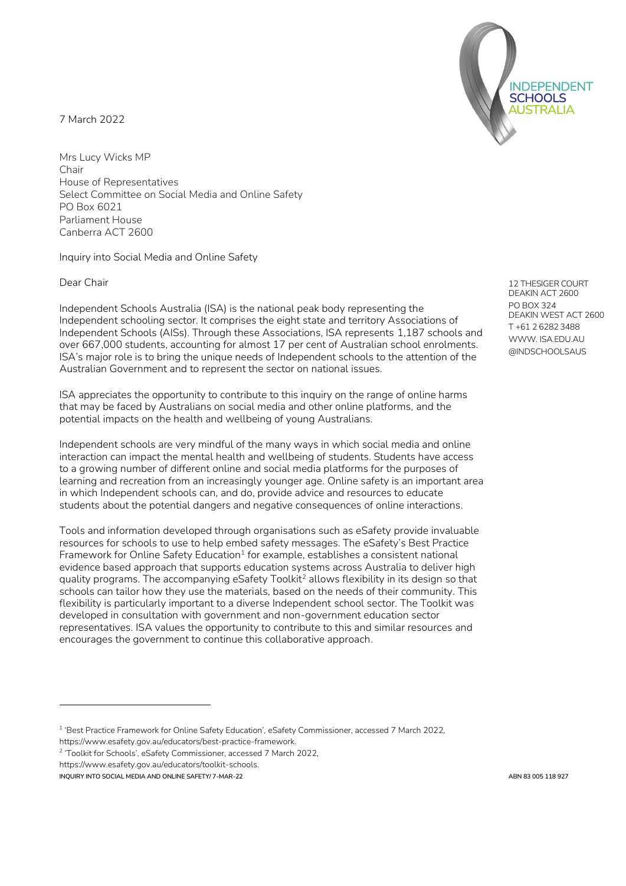7 March 2022



Mrs Lucy Wicks MP Chair House of Representatives Select Committee on Social Media and Online Safety PO Box 6021 Parliament House Canberra ACT 2600

Inquiry into Social Media and Online Safety

Dear Chair

Independent Schools Australia (ISA) is the national peak body representing the Independent schooling sector. It comprises the eight state and territory Associations of Independent Schools (AISs). Through these Associations, ISA represents 1,187 schools and over 667,000 students, accounting for almost 17 per cent of Australian school enrolments. ISA's major role is to bring the unique needs of Independent schools to the attention of the Australian Government and to represent the sector on national issues.

ISA appreciates the opportunity to contribute to this inquiry on the range of online harms that may be faced by Australians on social media and other online platforms, and the potential impacts on the health and wellbeing of young Australians.

Independent schools are very mindful of the many ways in which social media and online interaction can impact the mental health and wellbeing of students. Students have access to a growing number of different online and social media platforms for the purposes of learning and recreation from an increasingly younger age. Online safety is an important area in which Independent schools can, and do, provide advice and resources to educate students about the potential dangers and negative consequences of online interactions.

Tools and information developed through organisations such as eSafety provide invaluable resources for schools to use to help embed safety messages. The eSafety's Best Practice Framework for Online Safety Education<sup>1</sup> for example, establishes a consistent national evidence based approach that supports education systems across Australia to deliver high quality programs. The accompanying eSafety Toolkit<sup>2</sup> allows flexibility in its design so that schools can tailor how they use the materials, based on the needs of their community. This flexibility is particularly important to a diverse Independent school sector. The Toolkit was developed in consultation with government and non-government education sector representatives. ISA values the opportunity to contribute to this and similar resources and encourages the government to continue this collaborative approach.

12 THESIGER COURT DEAKIN ACT 2600 PO BOX 324 DEAKIN WEST ACT 2600 T +61 2 6282 3488 WWW. ISA.EDU.AU @INDSCHOOLSAUS

<sup>&</sup>lt;sup>1</sup> 'Best Practice Framework for Online Safety Education', eSafety Commissioner, accessed 7 March 2022,

https://www.esafety.gov.au/educators/best-practice-framework.

<sup>&</sup>lt;sup>2</sup> 'Toolkit for Schools', eSafety Commissioner, accessed 7 March 2022,

https://www.esafety.gov.au/educators/toolkit-schools.

**INQUIRY INTO SOCIAL MEDIA AND ONLINE SAFETY/ 7-MAR-22 ABN 83 005 118 927**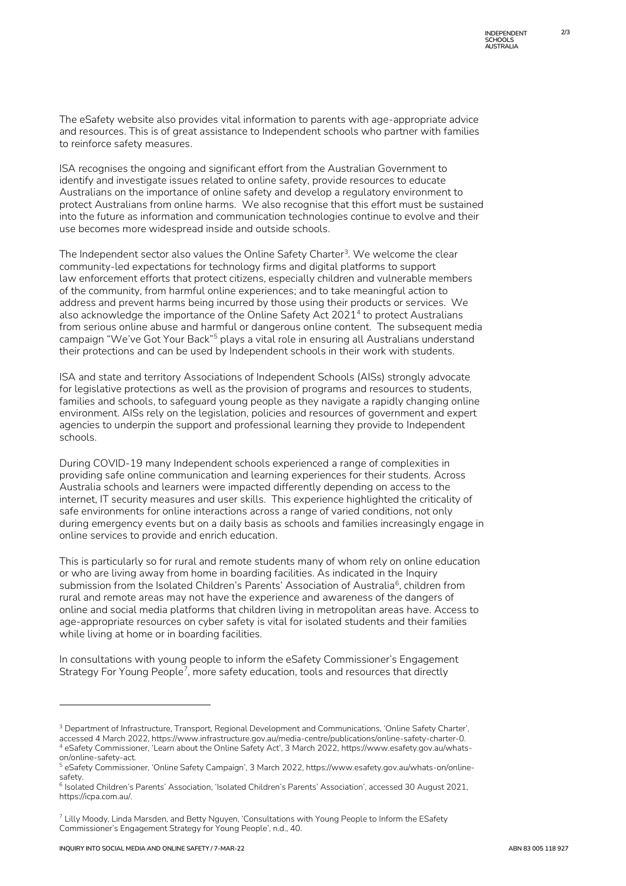The eSafety website also provides vital information to parents with age-appropriate advice and resources. This is of great assistance to Independent schools who partner with families to reinforce safety measures.

ISA recognises the ongoing and significant effort from the Australian Government to identify and investigate issues related to online safety, provide resources to educate Australians on the importance of online safety and develop a regulatory environment to protect Australians from online harms. We also recognise that this effort must be sustained into the future as information and communication technologies continue to evolve and their use becomes more widespread inside and outside schools.

The Independent sector also values the Online Safety Charter<sup>3</sup> . We welcome the clear community-led expectations for technology firms and digital platforms to support law enforcement efforts that protect citizens, especially children and vulnerable members of the community, from harmful online experiences; and to take meaningful action to address and prevent harms being incurred by those using their products or services. We also acknowledge the importance of the Online Safety Act 2021<sup>4</sup> to protect Australians from serious online abuse and harmful or dangerous online content. The subsequent media campaign "We've Got Your Back"<sup>5</sup> plays a vital role in ensuring all Australians understand their protections and can be used by Independent schools in their work with students.

ISA and state and territory Associations of Independent Schools (AISs) strongly advocate for legislative protections as well as the provision of programs and resources to students, families and schools, to safeguard young people as they navigate a rapidly changing online environment. AISs rely on the legislation, policies and resources of government and expert agencies to underpin the support and professional learning they provide to Independent schools.

During COVID-19 many Independent schools experienced a range of complexities in providing safe online communication and learning experiences for their students. Across Australia schools and learners were impacted differently depending on access to the internet, IT security measures and user skills. This experience highlighted the criticality of safe environments for online interactions across a range of varied conditions, not only during emergency events but on a daily basis as schools and families increasingly engage in online services to provide and enrich education.

This is particularly so for rural and remote students many of whom rely on online education or who are living away from home in boarding facilities. As indicated in the Inquiry submission from the Isolated Children's Parents' Association of Australia<sup>6</sup>, children from rural and remote areas may not have the experience and awareness of the dangers of online and social media platforms that children living in metropolitan areas have. Access to age-appropriate resources on cyber safety is vital for isolated students and their families while living at home or in boarding facilities.

In consultations with young people to inform the eSafety Commissioner's Engagement Strategy For Young People<sup>7</sup>, more safety education, tools and resources that directly

<sup>3</sup> Department of Infrastructure, Transport, Regional Development and Communications, 'Online Safety Charter',

accessed 4 March 2022, https://www.infrastructure.gov.au/media-centre/publications/online-safety-charter-0. <sup>4</sup> eSafety Commissioner, 'Learn about the Online Safety Act', 3 March 2022, https://www.esafety.gov.au/whatson/online-safety-act.

<sup>5</sup> eSafety Commissioner, 'Online Safety Campaign', 3 March 2022, https://www.esafety.gov.au/whats-on/onlinesafety.

<sup>6</sup> Isolated Children's Parents' Association, 'Isolated Children's Parents' Association', accessed 30 August 2021, https://icpa.com.au/.

 $7$  Lilly Moody, Linda Marsden, and Betty Nguyen, 'Consultations with Young People to Inform the ESafety Commissioner's Engagement Strategy for Young People', n.d., 40.